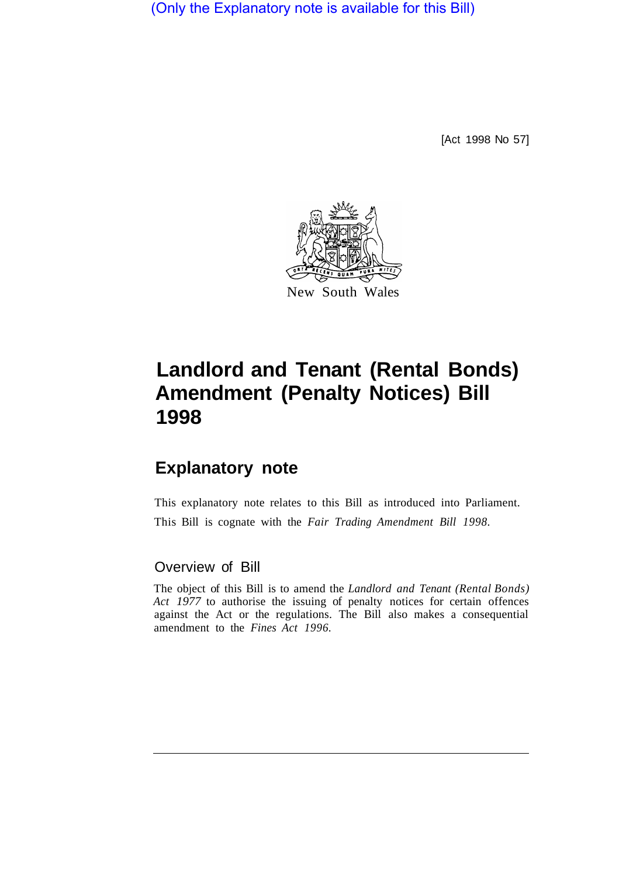(Only the Explanatory note is available for this Bill)

[Act 1998 No 57]



## **Landlord and Tenant (Rental Bonds) Amendment (Penalty Notices) Bill 1998**

## **Explanatory note**

This explanatory note relates to this Bill as introduced into Parliament. This Bill is cognate with the *Fair Trading Amendment Bill 1998.* 

## Overview of Bill

The object of this Bill is to amend the *Landlord and Tenant (Rental Bonds) Act 1977* to authorise the issuing of penalty notices for certain offences against the Act or the regulations. The Bill also makes a consequential amendment to the *Fines Act 1996.*